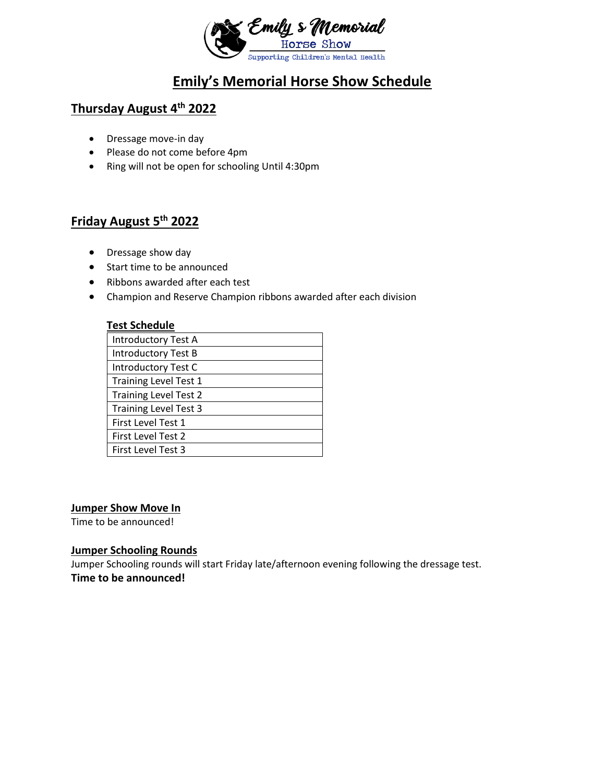

## **Emily's Memorial Horse Show Schedule**

## **Thursday August 4th 2022**

- Dressage move-in day
- Please do not come before 4pm
- Ring will not be open for schooling Until 4:30pm

### **Friday August 5th 2022**

- Dressage show day
- Start time to be announced
- Ribbons awarded after each test
- Champion and Reserve Champion ribbons awarded after each division

#### **Test Schedule**

| <b>Introductory Test A</b>   |  |
|------------------------------|--|
| <b>Introductory Test B</b>   |  |
| Introductory Test C          |  |
| <b>Training Level Test 1</b> |  |
| <b>Training Level Test 2</b> |  |
| <b>Training Level Test 3</b> |  |
| First Level Test 1           |  |
| First Level Test 2           |  |
| <b>First Level Test 3</b>    |  |

#### **Jumper Show Move In**

Time to be announced!

#### **Jumper Schooling Rounds**

Jumper Schooling rounds will start Friday late/afternoon evening following the dressage test. **Time to be announced!**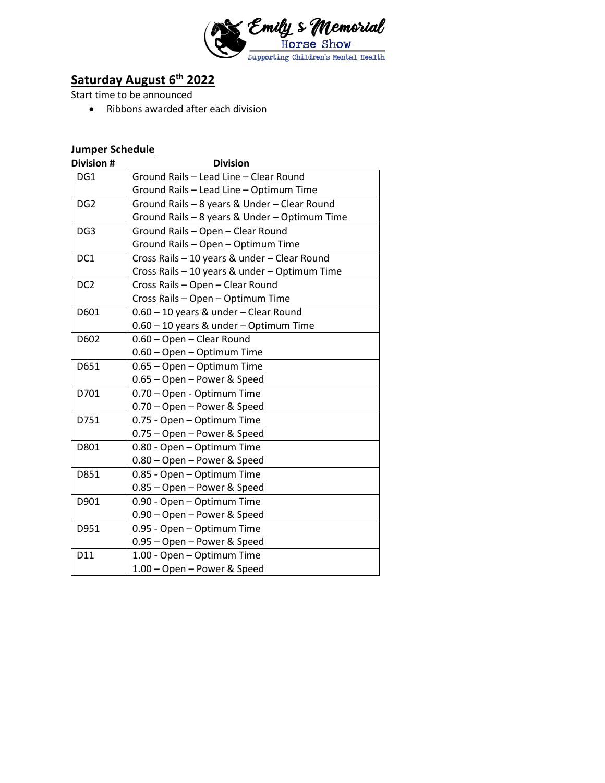

# **Saturday August 6th 2022**

Start time to be announced

• Ribbons awarded after each division

### **Jumper Schedule**

| Division #      | <b>Division</b>                               |
|-----------------|-----------------------------------------------|
| DG1             | Ground Rails - Lead Line - Clear Round        |
|                 | Ground Rails - Lead Line - Optimum Time       |
| DG <sub>2</sub> | Ground Rails - 8 years & Under - Clear Round  |
|                 | Ground Rails - 8 years & Under - Optimum Time |
| DG <sub>3</sub> | Ground Rails - Open - Clear Round             |
|                 | Ground Rails - Open - Optimum Time            |
| DC1             | Cross Rails - 10 years & under - Clear Round  |
|                 | Cross Rails - 10 years & under - Optimum Time |
| DC <sub>2</sub> | Cross Rails - Open - Clear Round              |
|                 | Cross Rails - Open - Optimum Time             |
| D601            | 0.60 - 10 years & under - Clear Round         |
|                 | 0.60 - 10 years & under - Optimum Time        |
| D602            | 0.60 - Open - Clear Round                     |
|                 | 0.60 - Open - Optimum Time                    |
| D651            | 0.65 - Open - Optimum Time                    |
|                 | 0.65 - Open - Power & Speed                   |
| D701            | 0.70 - Open - Optimum Time                    |
|                 | 0.70 - Open - Power & Speed                   |
| D751            | 0.75 - Open - Optimum Time                    |
|                 | 0.75 - Open - Power & Speed                   |
| D801            | 0.80 - Open - Optimum Time                    |
|                 | 0.80 - Open - Power & Speed                   |
| D851            | 0.85 - Open - Optimum Time                    |
|                 | 0.85 - Open - Power & Speed                   |
| D901            | 0.90 - Open - Optimum Time                    |
|                 | 0.90 - Open - Power & Speed                   |
| D951            | 0.95 - Open - Optimum Time                    |
|                 | 0.95 - Open - Power & Speed                   |
| D11             | 1.00 - Open - Optimum Time                    |
|                 | 1.00 - Open - Power & Speed                   |